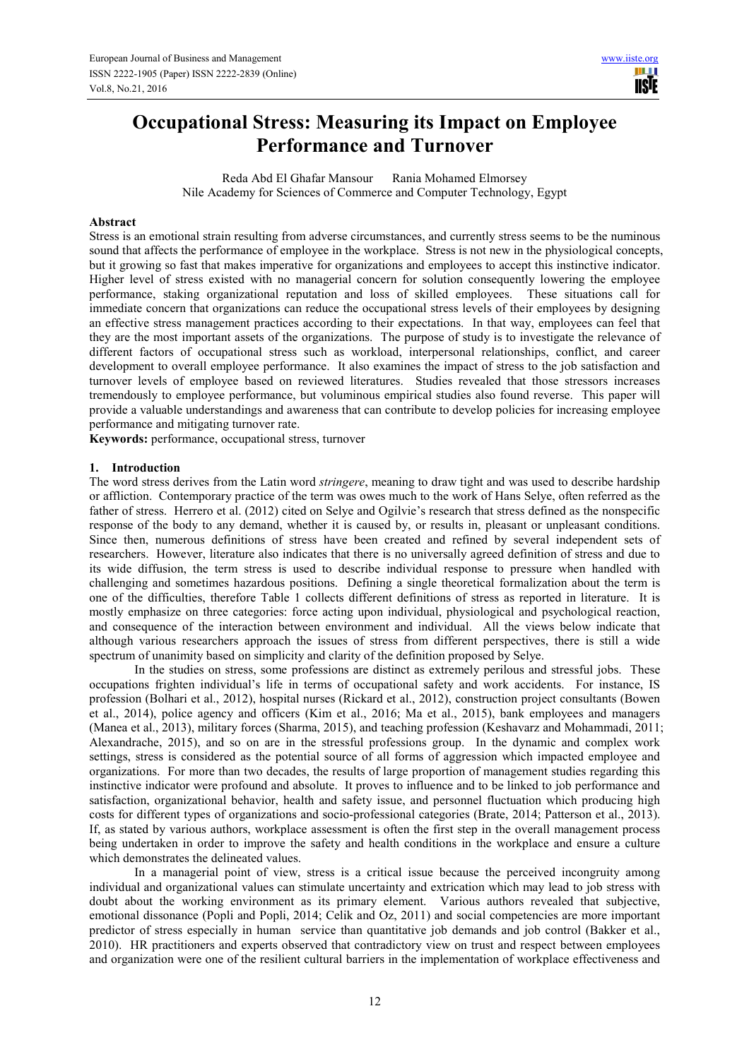# **Occupational Stress: Measuring its Impact on Employee Performance and Turnover**

Reda Abd El Ghafar Mansour Rania Mohamed Elmorsey Nile Academy for Sciences of Commerce and Computer Technology, Egypt

#### **Abstract**

Stress is an emotional strain resulting from adverse circumstances, and currently stress seems to be the numinous sound that affects the performance of employee in the workplace. Stress is not new in the physiological concepts, but it growing so fast that makes imperative for organizations and employees to accept this instinctive indicator. Higher level of stress existed with no managerial concern for solution consequently lowering the employee performance, staking organizational reputation and loss of skilled employees. These situations call for immediate concern that organizations can reduce the occupational stress levels of their employees by designing an effective stress management practices according to their expectations. In that way, employees can feel that they are the most important assets of the organizations. The purpose of study is to investigate the relevance of different factors of occupational stress such as workload, interpersonal relationships, conflict, and career development to overall employee performance. It also examines the impact of stress to the job satisfaction and turnover levels of employee based on reviewed literatures. Studies revealed that those stressors increases tremendously to employee performance, but voluminous empirical studies also found reverse. This paper will provide a valuable understandings and awareness that can contribute to develop policies for increasing employee performance and mitigating turnover rate.

**Keywords:** performance, occupational stress, turnover

## **1. Introduction**

The word stress derives from the Latin word *stringere*, meaning to draw tight and was used to describe hardship or affliction. Contemporary practice of the term was owes much to the work of Hans Selye, often referred as the father of stress. Herrero et al. (2012) cited on Selye and Ogilvie's research that stress defined as the nonspecific response of the body to any demand, whether it is caused by, or results in, pleasant or unpleasant conditions. Since then, numerous definitions of stress have been created and refined by several independent sets of researchers. However, literature also indicates that there is no universally agreed definition of stress and due to its wide diffusion, the term stress is used to describe individual response to pressure when handled with challenging and sometimes hazardous positions. Defining a single theoretical formalization about the term is one of the difficulties, therefore Table 1 collects different definitions of stress as reported in literature. It is mostly emphasize on three categories: force acting upon individual, physiological and psychological reaction, and consequence of the interaction between environment and individual. All the views below indicate that although various researchers approach the issues of stress from different perspectives, there is still a wide spectrum of unanimity based on simplicity and clarity of the definition proposed by Selye.

In the studies on stress, some professions are distinct as extremely perilous and stressful jobs. These occupations frighten individual's life in terms of occupational safety and work accidents. For instance, IS profession (Bolhari et al., 2012), hospital nurses (Rickard et al., 2012), construction project consultants (Bowen et al., 2014), police agency and officers (Kim et al., 2016; Ma et al., 2015), bank employees and managers (Manea et al., 2013), military forces (Sharma, 2015), and teaching profession (Keshavarz and Mohammadi, 2011; Alexandrache, 2015), and so on are in the stressful professions group. In the dynamic and complex work settings, stress is considered as the potential source of all forms of aggression which impacted employee and organizations. For more than two decades, the results of large proportion of management studies regarding this instinctive indicator were profound and absolute. It proves to influence and to be linked to job performance and satisfaction, organizational behavior, health and safety issue, and personnel fluctuation which producing high costs for different types of organizations and socio-professional categories (Brate, 2014; Patterson et al., 2013). If, as stated by various authors, workplace assessment is often the first step in the overall management process being undertaken in order to improve the safety and health conditions in the workplace and ensure a culture which demonstrates the delineated values.

In a managerial point of view, stress is a critical issue because the perceived incongruity among individual and organizational values can stimulate uncertainty and extrication which may lead to job stress with doubt about the working environment as its primary element. Various authors revealed that subjective, emotional dissonance (Popli and Popli, 2014; Celik and Oz, 2011) and social competencies are more important predictor of stress especially in human service than quantitative job demands and job control (Bakker et al., 2010). HR practitioners and experts observed that contradictory view on trust and respect between employees and organization were one of the resilient cultural barriers in the implementation of workplace effectiveness and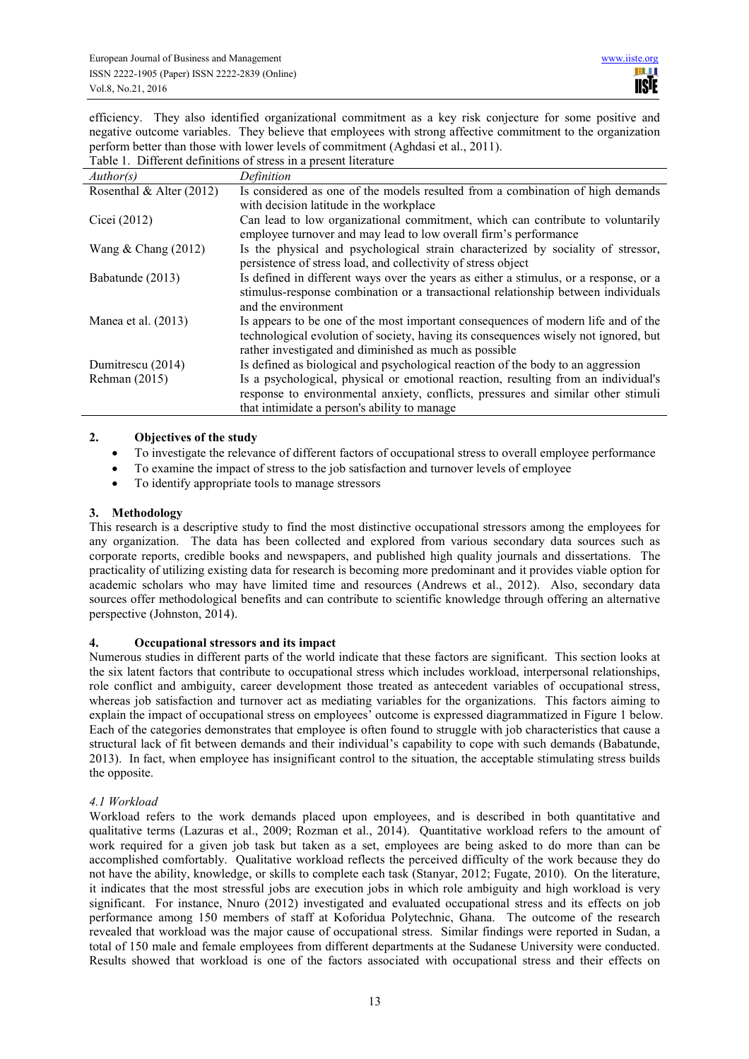efficiency. They also identified organizational commitment as a key risk conjecture for some positive and negative outcome variables. They believe that employees with strong affective commitment to the organization perform better than those with lower levels of commitment (Aghdasi et al., 2011). Table 1. Different definitions of stress in a present literature

| Author(s)                  | Definition                                                                                                                                                                                                                         |
|----------------------------|------------------------------------------------------------------------------------------------------------------------------------------------------------------------------------------------------------------------------------|
| Rosenthal & Alter $(2012)$ | Is considered as one of the models resulted from a combination of high demands                                                                                                                                                     |
|                            | with decision latitude in the workplace                                                                                                                                                                                            |
| Cicei (2012)               | Can lead to low organizational commitment, which can contribute to voluntarily<br>employee turnover and may lead to low overall firm's performance                                                                                 |
| Wang $&$ Chang (2012)      | Is the physical and psychological strain characterized by sociality of stressor,<br>persistence of stress load, and collectivity of stress object                                                                                  |
| Babatunde (2013)           | Is defined in different ways over the years as either a stimulus, or a response, or a<br>stimulus-response combination or a transactional relationship between individuals<br>and the environment                                  |
| Manea et al. $(2013)$      | Is appears to be one of the most important consequences of modern life and of the<br>technological evolution of society, having its consequences wisely not ignored, but<br>rather investigated and diminished as much as possible |
| Dumitrescu (2014)          | Is defined as biological and psychological reaction of the body to an aggression                                                                                                                                                   |
| Rehman (2015)              | Is a psychological, physical or emotional reaction, resulting from an individual's<br>response to environmental anxiety, conflicts, pressures and similar other stimuli<br>that intimidate a person's ability to manage            |

# **2. Objectives of the study**

- To investigate the relevance of different factors of occupational stress to overall employee performance
- To examine the impact of stress to the job satisfaction and turnover levels of employee
- To identify appropriate tools to manage stressors

#### **3. Methodology**

This research is a descriptive study to find the most distinctive occupational stressors among the employees for any organization. The data has been collected and explored from various secondary data sources such as corporate reports, credible books and newspapers, and published high quality journals and dissertations. The practicality of utilizing existing data for research is becoming more predominant and it provides viable option for academic scholars who may have limited time and resources (Andrews et al., 2012). Also, secondary data sources offer methodological benefits and can contribute to scientific knowledge through offering an alternative perspective (Johnston, 2014).

## **4. Occupational stressors and its impact**

Numerous studies in different parts of the world indicate that these factors are significant. This section looks at the six latent factors that contribute to occupational stress which includes workload, interpersonal relationships, role conflict and ambiguity, career development those treated as antecedent variables of occupational stress, whereas job satisfaction and turnover act as mediating variables for the organizations. This factors aiming to explain the impact of occupational stress on employees' outcome is expressed diagrammatized in Figure 1 below. Each of the categories demonstrates that employee is often found to struggle with job characteristics that cause a structural lack of fit between demands and their individual's capability to cope with such demands (Babatunde, 2013). In fact, when employee has insignificant control to the situation, the acceptable stimulating stress builds the opposite.

# *4.1 Workload*

Workload refers to the work demands placed upon employees, and is described in both quantitative and qualitative terms (Lazuras et al., 2009; Rozman et al., 2014). Quantitative workload refers to the amount of work required for a given job task but taken as a set, employees are being asked to do more than can be accomplished comfortably. Qualitative workload reflects the perceived difficulty of the work because they do not have the ability, knowledge, or skills to complete each task (Stanyar, 2012; Fugate, 2010). On the literature, it indicates that the most stressful jobs are execution jobs in which role ambiguity and high workload is very significant. For instance, Nnuro (2012) investigated and evaluated occupational stress and its effects on job performance among 150 members of staff at Koforidua Polytechnic, Ghana. The outcome of the research revealed that workload was the major cause of occupational stress. Similar findings were reported in Sudan, a total of 150 male and female employees from different departments at the Sudanese University were conducted. Results showed that workload is one of the factors associated with occupational stress and their effects on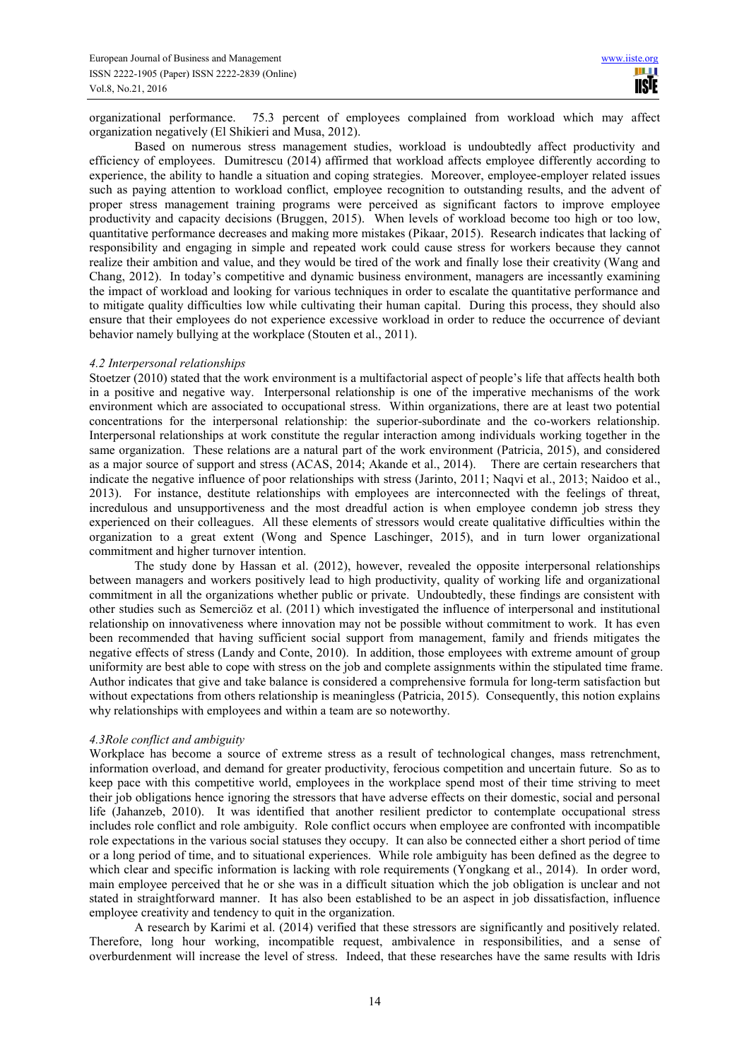organizational performance. 75.3 percent of employees complained from workload which may affect organization negatively (El Shikieri and Musa, 2012).

Based on numerous stress management studies, workload is undoubtedly affect productivity and efficiency of employees. Dumitrescu (2014) affirmed that workload affects employee differently according to experience, the ability to handle a situation and coping strategies. Moreover, employee-employer related issues such as paying attention to workload conflict, employee recognition to outstanding results, and the advent of proper stress management training programs were perceived as significant factors to improve employee productivity and capacity decisions (Bruggen, 2015). When levels of workload become too high or too low, quantitative performance decreases and making more mistakes (Pikaar, 2015). Research indicates that lacking of responsibility and engaging in simple and repeated work could cause stress for workers because they cannot realize their ambition and value, and they would be tired of the work and finally lose their creativity (Wang and Chang, 2012). In today's competitive and dynamic business environment, managers are incessantly examining the impact of workload and looking for various techniques in order to escalate the quantitative performance and to mitigate quality difficulties low while cultivating their human capital. During this process, they should also ensure that their employees do not experience excessive workload in order to reduce the occurrence of deviant behavior namely bullying at the workplace (Stouten et al., 2011).

## *4.2 Interpersonal relationships*

Stoetzer (2010) stated that the work environment is a multifactorial aspect of people's life that affects health both in a positive and negative way. Interpersonal relationship is one of the imperative mechanisms of the work environment which are associated to occupational stress. Within organizations, there are at least two potential concentrations for the interpersonal relationship: the superior-subordinate and the co-workers relationship. Interpersonal relationships at work constitute the regular interaction among individuals working together in the same organization. These relations are a natural part of the work environment (Patricia, 2015), and considered as a major source of support and stress (ACAS, 2014; Akande et al., 2014). There are certain researchers that indicate the negative influence of poor relationships with stress (Jarinto, 2011; Naqvi et al., 2013; Naidoo et al., 2013). For instance, destitute relationships with employees are interconnected with the feelings of threat, incredulous and unsupportiveness and the most dreadful action is when employee condemn job stress they experienced on their colleagues. All these elements of stressors would create qualitative difficulties within the organization to a great extent (Wong and Spence Laschinger, 2015), and in turn lower organizational commitment and higher turnover intention.

The study done by Hassan et al. (2012), however, revealed the opposite interpersonal relationships between managers and workers positively lead to high productivity, quality of working life and organizational commitment in all the organizations whether public or private. Undoubtedly, these findings are consistent with other studies such as Semerciöz et al. (2011) which investigated the influence of interpersonal and institutional relationship on innovativeness where innovation may not be possible without commitment to work. It has even been recommended that having sufficient social support from management, family and friends mitigates the negative effects of stress (Landy and Conte, 2010). In addition, those employees with extreme amount of group uniformity are best able to cope with stress on the job and complete assignments within the stipulated time frame. Author indicates that give and take balance is considered a comprehensive formula for long-term satisfaction but without expectations from others relationship is meaningless (Patricia, 2015). Consequently, this notion explains why relationships with employees and within a team are so noteworthy.

## *4.3Role conflict and ambiguity*

Workplace has become a source of extreme stress as a result of technological changes, mass retrenchment, information overload, and demand for greater productivity, ferocious competition and uncertain future. So as to keep pace with this competitive world, employees in the workplace spend most of their time striving to meet their job obligations hence ignoring the stressors that have adverse effects on their domestic, social and personal life (Jahanzeb, 2010). It was identified that another resilient predictor to contemplate occupational stress includes role conflict and role ambiguity. Role conflict occurs when employee are confronted with incompatible role expectations in the various social statuses they occupy. It can also be connected either a short period of time or a long period of time, and to situational experiences. While role ambiguity has been defined as the degree to which clear and specific information is lacking with role requirements (Yongkang et al., 2014). In order word, main employee perceived that he or she was in a difficult situation which the job obligation is unclear and not stated in straightforward manner. It has also been established to be an aspect in job dissatisfaction, influence employee creativity and tendency to quit in the organization.

A research by Karimi et al. (2014) verified that these stressors are significantly and positively related. Therefore, long hour working, incompatible request, ambivalence in responsibilities, and a sense of overburdenment will increase the level of stress. Indeed, that these researches have the same results with Idris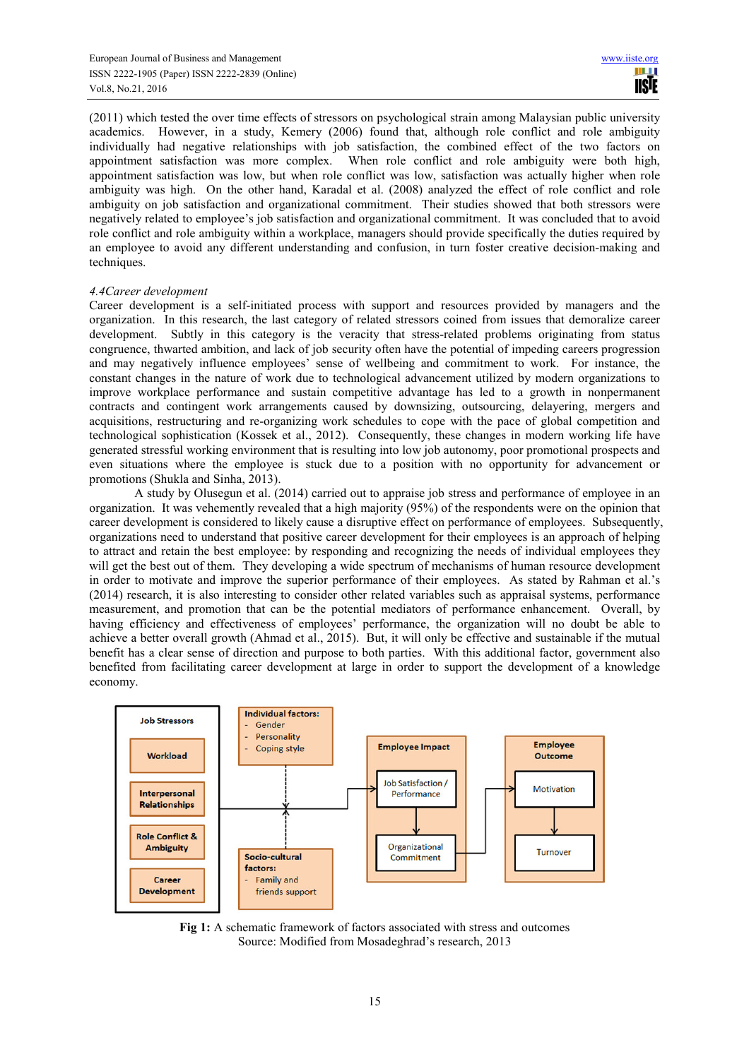(2011) which tested the over time effects of stressors on psychological strain among Malaysian public university academics. However, in a study, Kemery (2006) found that, although role conflict and role ambiguity individually had negative relationships with job satisfaction, the combined effect of the two factors on appointment satisfaction was more complex. When role conflict and role ambiguity were both high, appointment satisfaction was low, but when role conflict was low, satisfaction was actually higher when role ambiguity was high. On the other hand, Karadal et al. (2008) analyzed the effect of role conflict and role ambiguity on job satisfaction and organizational commitment. Their studies showed that both stressors were negatively related to employee's job satisfaction and organizational commitment. It was concluded that to avoid role conflict and role ambiguity within a workplace, managers should provide specifically the duties required by an employee to avoid any different understanding and confusion, in turn foster creative decision-making and techniques.

# *4.4Career development*

Career development is a self-initiated process with support and resources provided by managers and the organization. In this research, the last category of related stressors coined from issues that demoralize career development. Subtly in this category is the veracity that stress-related problems originating from status congruence, thwarted ambition, and lack of job security often have the potential of impeding careers progression and may negatively influence employees' sense of wellbeing and commitment to work. For instance, the constant changes in the nature of work due to technological advancement utilized by modern organizations to improve workplace performance and sustain competitive advantage has led to a growth in nonpermanent contracts and contingent work arrangements caused by downsizing, outsourcing, delayering, mergers and acquisitions, restructuring and re-organizing work schedules to cope with the pace of global competition and technological sophistication (Kossek et al., 2012). Consequently, these changes in modern working life have generated stressful working environment that is resulting into low job autonomy, poor promotional prospects and even situations where the employee is stuck due to a position with no opportunity for advancement or promotions (Shukla and Sinha, 2013).

A study by Olusegun et al. (2014) carried out to appraise job stress and performance of employee in an organization. It was vehemently revealed that a high majority (95%) of the respondents were on the opinion that career development is considered to likely cause a disruptive effect on performance of employees. Subsequently, organizations need to understand that positive career development for their employees is an approach of helping to attract and retain the best employee: by responding and recognizing the needs of individual employees they will get the best out of them. They developing a wide spectrum of mechanisms of human resource development in order to motivate and improve the superior performance of their employees. As stated by Rahman et al.'s (2014) research, it is also interesting to consider other related variables such as appraisal systems, performance measurement, and promotion that can be the potential mediators of performance enhancement. Overall, by having efficiency and effectiveness of employees' performance, the organization will no doubt be able to achieve a better overall growth (Ahmad et al., 2015). But, it will only be effective and sustainable if the mutual benefit has a clear sense of direction and purpose to both parties. With this additional factor, government also benefited from facilitating career development at large in order to support the development of a knowledge economy.



**Fig 1:** A schematic framework of factors associated with stress and outcomes Source: Modified from Mosadeghrad's research, 2013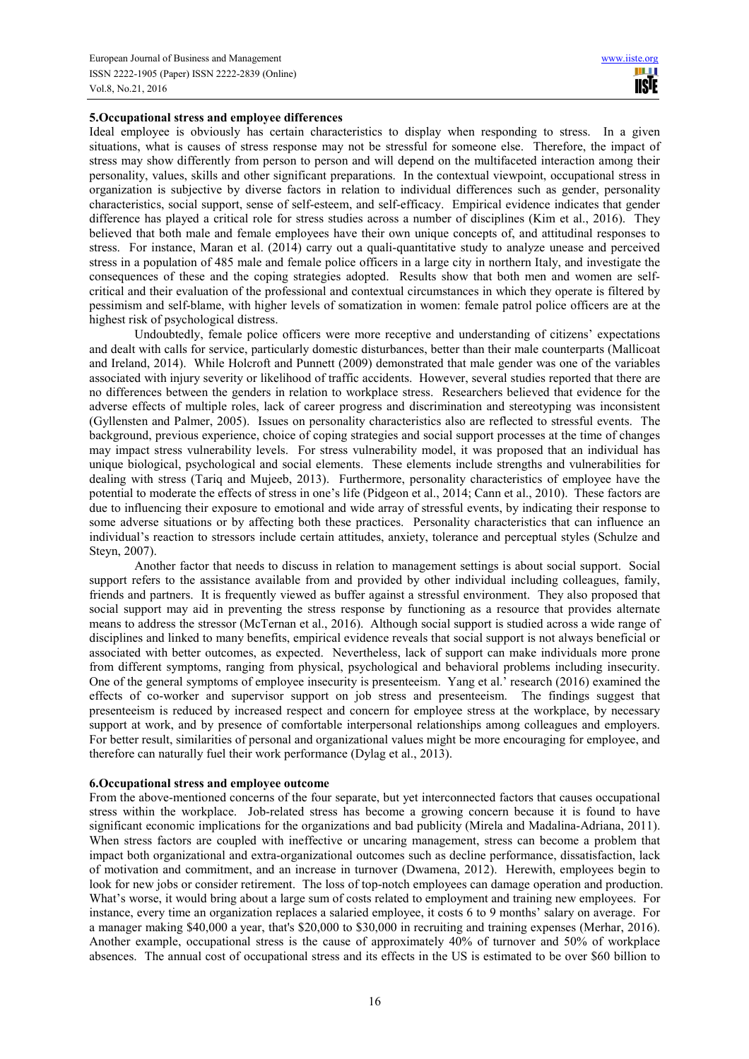# **5.Occupational stress and employee differences**

Ideal employee is obviously has certain characteristics to display when responding to stress. In a given situations, what is causes of stress response may not be stressful for someone else. Therefore, the impact of stress may show differently from person to person and will depend on the multifaceted interaction among their personality, values, skills and other significant preparations. In the contextual viewpoint, occupational stress in organization is subjective by diverse factors in relation to individual differences such as gender, personality characteristics, social support, sense of self-esteem, and self-efficacy. Empirical evidence indicates that gender difference has played a critical role for stress studies across a number of disciplines (Kim et al., 2016). They believed that both male and female employees have their own unique concepts of, and attitudinal responses to stress. For instance, Maran et al. (2014) carry out a quali-quantitative study to analyze unease and perceived stress in a population of 485 male and female police officers in a large city in northern Italy, and investigate the consequences of these and the coping strategies adopted. Results show that both men and women are selfcritical and their evaluation of the professional and contextual circumstances in which they operate is filtered by pessimism and self-blame, with higher levels of somatization in women: female patrol police officers are at the highest risk of psychological distress.

Undoubtedly, female police officers were more receptive and understanding of citizens' expectations and dealt with calls for service, particularly domestic disturbances, better than their male counterparts (Mallicoat and Ireland, 2014). While Holcroft and Punnett (2009) demonstrated that male gender was one of the variables associated with injury severity or likelihood of traffic accidents. However, several studies reported that there are no differences between the genders in relation to workplace stress. Researchers believed that evidence for the adverse effects of multiple roles, lack of career progress and discrimination and stereotyping was inconsistent (Gyllensten and Palmer, 2005). Issues on personality characteristics also are reflected to stressful events. The background, previous experience, choice of coping strategies and social support processes at the time of changes may impact stress vulnerability levels. For stress vulnerability model, it was proposed that an individual has unique biological, psychological and social elements. These elements include strengths and vulnerabilities for dealing with stress (Tariq and Mujeeb, 2013). Furthermore, personality characteristics of employee have the potential to moderate the effects of stress in one's life (Pidgeon et al., 2014; Cann et al., 2010). These factors are due to influencing their exposure to emotional and wide array of stressful events, by indicating their response to some adverse situations or by affecting both these practices. Personality characteristics that can influence an individual's reaction to stressors include certain attitudes, anxiety, tolerance and perceptual styles (Schulze and Steyn, 2007).

Another factor that needs to discuss in relation to management settings is about social support. Social support refers to the assistance available from and provided by other individual including colleagues, family, friends and partners. It is frequently viewed as buffer against a stressful environment. They also proposed that social support may aid in preventing the stress response by functioning as a resource that provides alternate means to address the stressor (McTernan et al., 2016). Although social support is studied across a wide range of disciplines and linked to many benefits, empirical evidence reveals that social support is not always beneficial or associated with better outcomes, as expected. Nevertheless, lack of support can make individuals more prone from different symptoms, ranging from physical, psychological and behavioral problems including insecurity. One of the general symptoms of employee insecurity is presenteeism. Yang et al.' research (2016) examined the effects of co-worker and supervisor support on job stress and presenteeism. The findings suggest that presenteeism is reduced by increased respect and concern for employee stress at the workplace, by necessary support at work, and by presence of comfortable interpersonal relationships among colleagues and employers. For better result, similarities of personal and organizational values might be more encouraging for employee, and therefore can naturally fuel their work performance (Dylag et al., 2013).

#### **6.Occupational stress and employee outcome**

From the above-mentioned concerns of the four separate, but yet interconnected factors that causes occupational stress within the workplace. Job-related stress has become a growing concern because it is found to have significant economic implications for the organizations and bad publicity (Mirela and Madalina-Adriana, 2011). When stress factors are coupled with ineffective or uncaring management, stress can become a problem that impact both organizational and extra-organizational outcomes such as decline performance, dissatisfaction, lack of motivation and commitment, and an increase in turnover (Dwamena, 2012). Herewith, employees begin to look for new jobs or consider retirement. The loss of top-notch employees can damage operation and production. What's worse, it would bring about a large sum of costs related to employment and training new employees. For instance, every time an organization replaces a salaried employee, it costs 6 to 9 months' salary on average. For a manager making \$40,000 a year, that's \$20,000 to \$30,000 in recruiting and training expenses (Merhar, 2016). Another example, occupational stress is the cause of approximately 40% of turnover and 50% of workplace absences. The annual cost of occupational stress and its effects in the US is estimated to be over \$60 billion to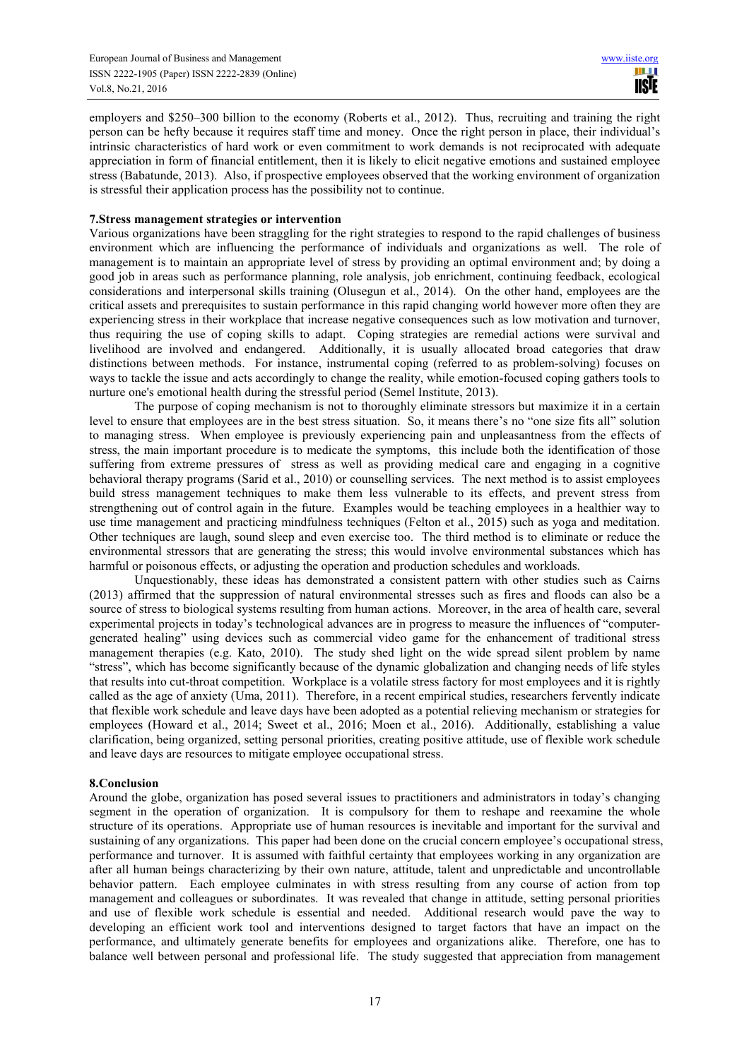employers and \$250–300 billion to the economy (Roberts et al., 2012). Thus, recruiting and training the right person can be hefty because it requires staff time and money. Once the right person in place, their individual's intrinsic characteristics of hard work or even commitment to work demands is not reciprocated with adequate appreciation in form of financial entitlement, then it is likely to elicit negative emotions and sustained employee stress (Babatunde, 2013). Also, if prospective employees observed that the working environment of organization is stressful their application process has the possibility not to continue.

# **7.Stress management strategies or intervention**

Various organizations have been straggling for the right strategies to respond to the rapid challenges of business environment which are influencing the performance of individuals and organizations as well. The role of management is to maintain an appropriate level of stress by providing an optimal environment and; by doing a good job in areas such as performance planning, role analysis, job enrichment, continuing feedback, ecological considerations and interpersonal skills training (Olusegun et al., 2014). On the other hand, employees are the critical assets and prerequisites to sustain performance in this rapid changing world however more often they are experiencing stress in their workplace that increase negative consequences such as low motivation and turnover, thus requiring the use of coping skills to adapt. Coping strategies are remedial actions were survival and livelihood are involved and endangered. Additionally, it is usually allocated broad categories that draw distinctions between methods. For instance, instrumental coping (referred to as problem-solving) focuses on ways to tackle the issue and acts accordingly to change the reality, while emotion-focused coping gathers tools to nurture one's emotional health during the stressful period (Semel Institute, 2013).

The purpose of coping mechanism is not to thoroughly eliminate stressors but maximize it in a certain level to ensure that employees are in the best stress situation. So, it means there's no "one size fits all" solution to managing stress. When employee is previously experiencing pain and unpleasantness from the effects of stress, the main important procedure is to medicate the symptoms, this include both the identification of those suffering from extreme pressures of stress as well as providing medical care and engaging in a cognitive behavioral therapy programs (Sarid et al., 2010) or counselling services. The next method is to assist employees build stress management techniques to make them less vulnerable to its effects, and prevent stress from strengthening out of control again in the future. Examples would be teaching employees in a healthier way to use time management and practicing mindfulness techniques (Felton et al., 2015) such as yoga and meditation. Other techniques are laugh, sound sleep and even exercise too. The third method is to eliminate or reduce the environmental stressors that are generating the stress; this would involve environmental substances which has harmful or poisonous effects, or adjusting the operation and production schedules and workloads.

Unquestionably, these ideas has demonstrated a consistent pattern with other studies such as Cairns (2013) affirmed that the suppression of natural environmental stresses such as fires and floods can also be a source of stress to biological systems resulting from human actions. Moreover, in the area of health care, several experimental projects in today's technological advances are in progress to measure the influences of "computergenerated healing" using devices such as commercial video game for the enhancement of traditional stress management therapies (e.g. Kato, 2010). The study shed light on the wide spread silent problem by name "stress", which has become significantly because of the dynamic globalization and changing needs of life styles that results into cut-throat competition. Workplace is a volatile stress factory for most employees and it is rightly called as the age of anxiety (Uma, 2011). Therefore, in a recent empirical studies, researchers fervently indicate that flexible work schedule and leave days have been adopted as a potential relieving mechanism or strategies for employees (Howard et al., 2014; Sweet et al., 2016; Moen et al., 2016). Additionally, establishing a value clarification, being organized, setting personal priorities, creating positive attitude, use of flexible work schedule and leave days are resources to mitigate employee occupational stress.

# **8.Conclusion**

Around the globe, organization has posed several issues to practitioners and administrators in today's changing segment in the operation of organization. It is compulsory for them to reshape and reexamine the whole structure of its operations. Appropriate use of human resources is inevitable and important for the survival and sustaining of any organizations. This paper had been done on the crucial concern employee's occupational stress, performance and turnover. It is assumed with faithful certainty that employees working in any organization are after all human beings characterizing by their own nature, attitude, talent and unpredictable and uncontrollable behavior pattern. Each employee culminates in with stress resulting from any course of action from top management and colleagues or subordinates. It was revealed that change in attitude, setting personal priorities and use of flexible work schedule is essential and needed. Additional research would pave the way to developing an efficient work tool and interventions designed to target factors that have an impact on the performance, and ultimately generate benefits for employees and organizations alike. Therefore, one has to balance well between personal and professional life. The study suggested that appreciation from management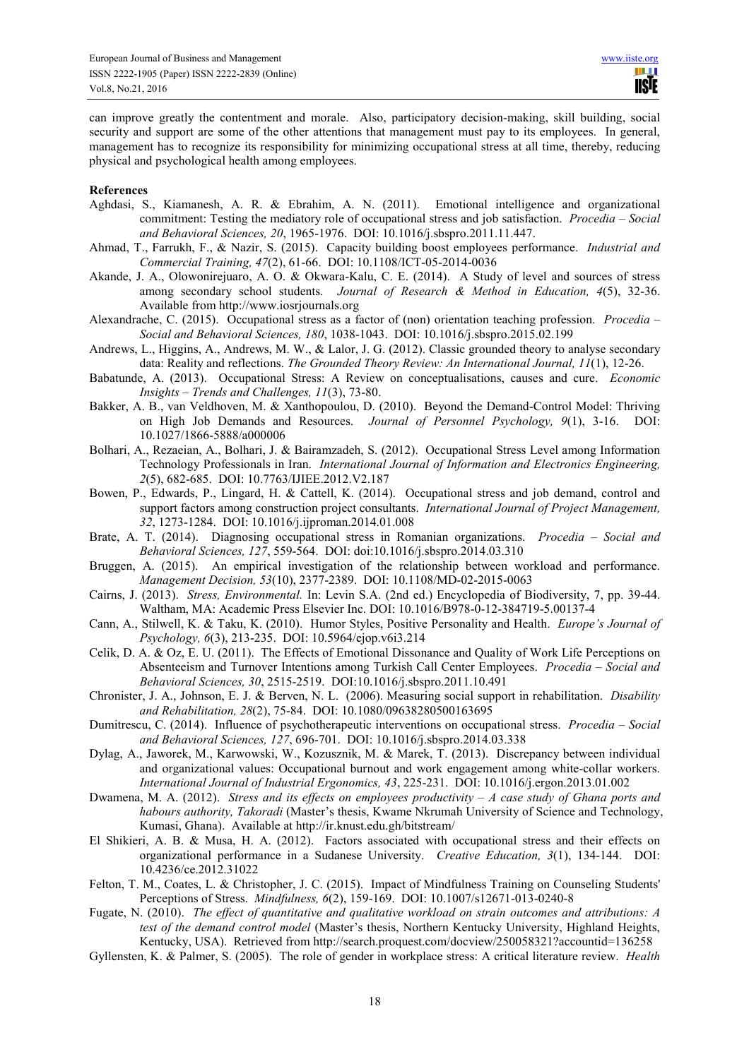can improve greatly the contentment and morale. Also, participatory decision-making, skill building, social security and support are some of the other attentions that management must pay to its employees. In general, management has to recognize its responsibility for minimizing occupational stress at all time, thereby, reducing physical and psychological health among employees.

#### **References**

- Aghdasi, S., Kiamanesh, A. R. & Ebrahim, A. N. (2011). Emotional intelligence and organizational commitment: Testing the mediatory role of occupational stress and job satisfaction. *Procedia – Social and Behavioral Sciences, 20*, 1965-1976. DOI: 10.1016/j.sbspro.2011.11.447.
- Ahmad, T., Farrukh, F., & Nazir, S. (2015). Capacity building boost employees performance. *Industrial and Commercial Training, 47*(2), 61-66. DOI: 10.1108/ICT-05-2014-0036
- Akande, J. A., Olowonirejuaro, A. O. & Okwara-Kalu, C. E. (2014). A Study of level and sources of stress among secondary school students. *Journal of Research & Method in Education, 4*(5), 32-36. Available from http://www.iosrjournals.org
- Alexandrache, C. (2015). Occupational stress as a factor of (non) orientation teaching profession. *Procedia Social and Behavioral Sciences, 180*, 1038-1043. DOI: 10.1016/j.sbspro.2015.02.199
- Andrews, L., Higgins, A., Andrews, M. W., & Lalor, J. G. (2012). Classic grounded theory to analyse secondary data: Reality and reflections. *The Grounded Theory Review: An International Journal, 11*(1), 12-26.
- Babatunde, A. (2013). Occupational Stress: A Review on conceptualisations, causes and cure. *Economic Insights – Trends and Challenges, 11*(3), 73-80.
- Bakker, A. B., van Veldhoven, M. & Xanthopoulou, D. (2010). Beyond the Demand-Control Model: Thriving on High Job Demands and Resources. *Journal of Personnel Psychology, 9*(1), 3-16. DOI: 10.1027/1866-5888/a000006
- Bolhari, A., Rezaeian, A., Bolhari, J. & Bairamzadeh, S. (2012). Occupational Stress Level among Information Technology Professionals in Iran. *International Journal of Information and Electronics Engineering, 2*(5), 682-685. DOI: 10.7763/IJIEE.2012.V2.187
- Bowen, P., Edwards, P., Lingard, H. & Cattell, K. (2014). Occupational stress and job demand, control and support factors among construction project consultants. *International Journal of Project Management, 32*, 1273-1284. DOI: 10.1016/j.ijproman.2014.01.008
- Brate, A. T. (2014). Diagnosing occupational stress in Romanian organizations. *Procedia Social and Behavioral Sciences, 127*, 559-564. DOI: doi:10.1016/j.sbspro.2014.03.310
- Bruggen, A. (2015). An empirical investigation of the relationship between workload and performance. *Management Decision, 53*(10), 2377-2389. DOI: 10.1108/MD-02-2015-0063
- Cairns, J. (2013). *Stress, Environmental.* In: Levin S.A. (2nd ed.) Encyclopedia of Biodiversity, 7, pp. 39-44. Waltham, MA: Academic Press Elsevier Inc. DOI: 10.1016/B978-0-12-384719-5.00137-4
- Cann, A., Stilwell, K. & Taku, K. (2010). Humor Styles, Positive Personality and Health. *Europe's Journal of Psychology, 6*(3), 213-235. DOI: 10.5964/ejop.v6i3.214
- Celik, D. A. & Oz, E. U. (2011). The Effects of Emotional Dissonance and Quality of Work Life Perceptions on Absenteeism and Turnover Intentions among Turkish Call Center Employees. *Procedia – Social and Behavioral Sciences, 30*, 2515-2519. DOI:10.1016/j.sbspro.2011.10.491
- Chronister, J. A., Johnson, E. J. & Berven, N. L. (2006). Measuring social support in rehabilitation. *Disability and Rehabilitation, 28*(2), 75-84. DOI: 10.1080/09638280500163695
- Dumitrescu, C. (2014). Influence of psychotherapeutic interventions on occupational stress. *Procedia Social and Behavioral Sciences, 127*, 696-701. DOI: 10.1016/j.sbspro.2014.03.338
- Dylag, A., Jaworek, M., Karwowski, W., Kozusznik, M. & Marek, T. (2013). Discrepancy between individual and organizational values: Occupational burnout and work engagement among white-collar workers. *International Journal of Industrial Ergonomics, 43*, 225-231. DOI: 10.1016/j.ergon.2013.01.002
- Dwamena, M. A. (2012). *Stress and its effects on employees productivity A case study of Ghana ports and habours authority, Takoradi* (Master's thesis, Kwame Nkrumah University of Science and Technology, Kumasi, Ghana). Available at http://ir.knust.edu.gh/bitstream/
- El Shikieri, A. B. & Musa, H. A. (2012). Factors associated with occupational stress and their effects on organizational performance in a Sudanese University. *Creative Education, 3*(1), 134-144. DOI: 10.4236/ce.2012.31022
- Felton, T. M., Coates, L. & Christopher, J. C. (2015). Impact of Mindfulness Training on Counseling Students' Perceptions of Stress. *Mindfulness, 6*(2), 159-169. DOI: 10.1007/s12671-013-0240-8
- Fugate, N. (2010). *The effect of quantitative and qualitative workload on strain outcomes and attributions: A test of the demand control model* (Master's thesis, Northern Kentucky University, Highland Heights, Kentucky, USA). Retrieved from http://search.proquest.com/docview/250058321?accountid=136258
- Gyllensten, K. & Palmer, S. (2005). The role of gender in workplace stress: A critical literature review. *Health*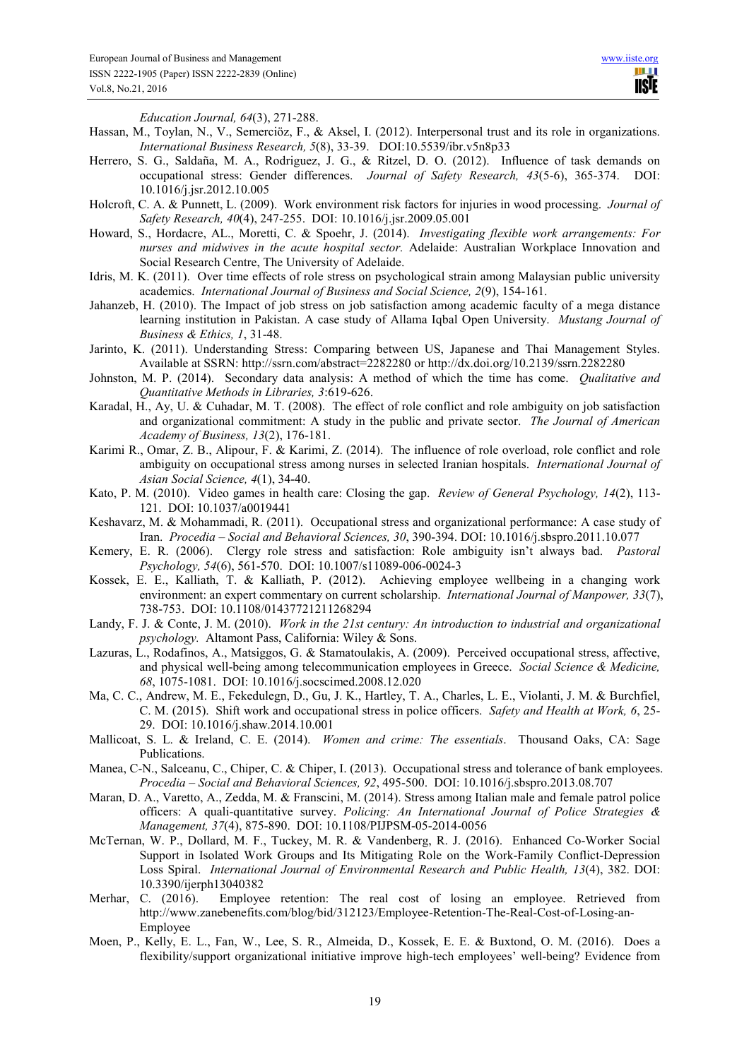*Education Journal, 64*(3), 271-288.

- Hassan, M., Toylan, N., V., Semerciöz, F., & Aksel, I. (2012). Interpersonal trust and its role in organizations. *International Business Research, 5*(8), 33-39. DOI:10.5539/ibr.v5n8p33
- Herrero, S. G., Saldaña, M. A., Rodriguez, J. G., & Ritzel, D. O. (2012). Influence of task demands on occupational stress: Gender differences. *Journal of Safety Research, 43*(5-6), 365-374. DOI: 10.1016/j.jsr.2012.10.005
- Holcroft, C. A. & Punnett, L. (2009). Work environment risk factors for injuries in wood processing. *Journal of Safety Research, 40*(4), 247-255. DOI: 10.1016/j.jsr.2009.05.001
- Howard, S., Hordacre, AL., Moretti, C. & Spoehr, J. (2014). *Investigating flexible work arrangements: For nurses and midwives in the acute hospital sector.* Adelaide: Australian Workplace Innovation and Social Research Centre, The University of Adelaide.
- Idris, M. K. (2011). Over time effects of role stress on psychological strain among Malaysian public university academics. *International Journal of Business and Social Science, 2*(9), 154-161.
- Jahanzeb, H. (2010). The Impact of job stress on job satisfaction among academic faculty of a mega distance learning institution in Pakistan. A case study of Allama Iqbal Open University. *Mustang Journal of Business & Ethics, 1*, 31-48.
- Jarinto, K. (2011). Understanding Stress: Comparing between US, Japanese and Thai Management Styles. Available at SSRN: http://ssrn.com/abstract=2282280 or http://dx.doi.org/10.2139/ssrn.2282280
- Johnston, M. P. (2014). Secondary data analysis: A method of which the time has come. *Qualitative and Quantitative Methods in Libraries, 3*:619-626.
- Karadal, H., Ay, U. & Cuhadar, M. T. (2008). The effect of role conflict and role ambiguity on job satisfaction and organizational commitment: A study in the public and private sector. *The Journal of American Academy of Business, 13*(2), 176-181.
- Karimi R., Omar, Z. B., Alipour, F. & Karimi, Z. (2014). The influence of role overload, role conflict and role ambiguity on occupational stress among nurses in selected Iranian hospitals. *International Journal of Asian Social Science, 4*(1), 34-40.
- Kato, P. M. (2010). Video games in health care: Closing the gap. *Review of General Psychology, 14*(2), 113- 121. DOI: 10.1037/a0019441
- Keshavarz, M. & Mohammadi, R. (2011). Occupational stress and organizational performance: A case study of Iran. *Procedia – Social and Behavioral Sciences, 30*, 390-394. DOI: 10.1016/j.sbspro.2011.10.077
- Kemery, E. R. (2006). Clergy role stress and satisfaction: Role ambiguity isn't always bad. *Pastoral Psychology, 54*(6), 561-570. DOI: 10.1007/s11089-006-0024-3
- Kossek, E. E., Kalliath, T. & Kalliath, P. (2012). Achieving employee wellbeing in a changing work environment: an expert commentary on current scholarship. *International Journal of Manpower, 33*(7), 738-753. DOI: 10.1108/01437721211268294
- Landy, F. J. & Conte, J. M. (2010). *Work in the 21st century: An introduction to industrial and organizational psychology.* Altamont Pass, California: Wiley & Sons.
- Lazuras, L., Rodafinos, A., Matsiggos, G. & Stamatoulakis, A. (2009). Perceived occupational stress, affective, and physical well-being among telecommunication employees in Greece. *Social Science & Medicine, 68*, 1075-1081. DOI: 10.1016/j.socscimed.2008.12.020
- Ma, C. C., Andrew, M. E., Fekedulegn, D., Gu, J. K., Hartley, T. A., Charles, L. E., Violanti, J. M. & Burchfiel, C. M. (2015). Shift work and occupational stress in police officers. *Safety and Health at Work, 6*, 25- 29. DOI: 10.1016/j.shaw.2014.10.001
- Mallicoat, S. L. & Ireland, C. E. (2014). *Women and crime: The essentials*. Thousand Oaks, CA: Sage Publications.
- Manea, C-N., Salceanu, C., Chiper, C. & Chiper, I. (2013). Occupational stress and tolerance of bank employees. *Procedia – Social and Behavioral Sciences, 92*, 495-500. DOI: 10.1016/j.sbspro.2013.08.707
- Maran, D. A., Varetto, A., Zedda, M. & Franscini, M. (2014). Stress among Italian male and female patrol police officers: A quali-quantitative survey. *Policing: An International Journal of Police Strategies & Management, 37*(4), 875-890. DOI: 10.1108/PIJPSM-05-2014-0056
- McTernan, W. P., Dollard, M. F., Tuckey, M. R. & Vandenberg, R. J. (2016). Enhanced Co-Worker Social Support in Isolated Work Groups and Its Mitigating Role on the Work-Family Conflict-Depression Loss Spiral. *International Journal of Environmental Research and Public Health, 13*(4), 382. DOI: 10.3390/ijerph13040382
- Merhar, C. (2016). Employee retention: The real cost of losing an employee. Retrieved from http://www.zanebenefits.com/blog/bid/312123/Employee-Retention-The-Real-Cost-of-Losing-an-Employee
- Moen, P., Kelly, E. L., Fan, W., Lee, S. R., Almeida, D., Kossek, E. E. & Buxtond, O. M. (2016). Does a flexibility/support organizational initiative improve high-tech employees' well-being? Evidence from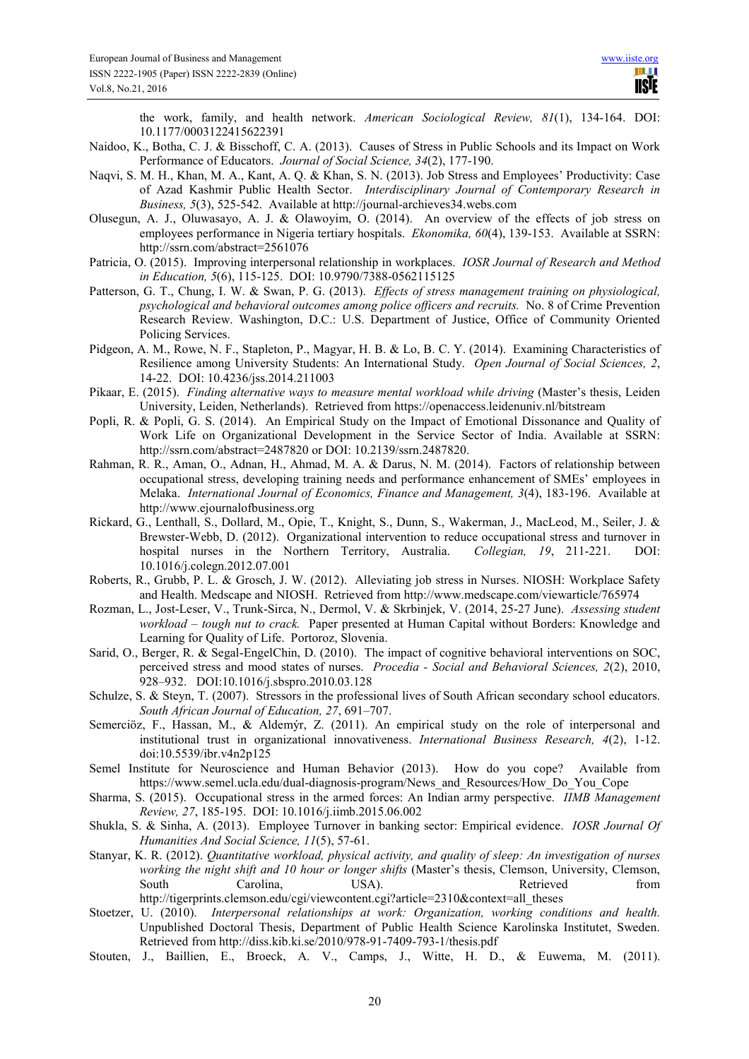the work, family, and health network. *American Sociological Review, 81*(1), 134-164. DOI: 10.1177/0003122415622391

- Naidoo, K., Botha, C. J. & Bisschoff, C. A. (2013). Causes of Stress in Public Schools and its Impact on Work Performance of Educators. *Journal of Social Science, 34*(2), 177-190.
- Naqvi, S. M. H., Khan, M. A., Kant, A. Q. & Khan, S. N. (2013). Job Stress and Employees' Productivity: Case of Azad Kashmir Public Health Sector. *Interdisciplinary Journal of Contemporary Research in Business, 5*(3), 525-542. Available at http://journal-archieves34.webs.com
- Olusegun, A. J., Oluwasayo, A. J. & Olawoyim, O. (2014). An overview of the effects of job stress on employees performance in Nigeria tertiary hospitals. *Ekonomika, 60*(4), 139-153. Available at SSRN: http://ssrn.com/abstract=2561076
- Patricia, O. (2015). Improving interpersonal relationship in workplaces. *IOSR Journal of Research and Method in Education, 5*(6), 115-125. DOI: 10.9790/7388-0562115125
- Patterson, G. T., Chung, I. W. & Swan, P. G. (2013). *Effects of stress management training on physiological, psychological and behavioral outcomes among police officers and recruits.* No. 8 of Crime Prevention Research Review. Washington, D.C.: U.S. Department of Justice, Office of Community Oriented Policing Services.
- Pidgeon, A. M., Rowe, N. F., Stapleton, P., Magyar, H. B. & Lo, B. C. Y. (2014). Examining Characteristics of Resilience among University Students: An International Study. *Open Journal of Social Sciences, 2*, 14-22. DOI: 10.4236/jss.2014.211003
- Pikaar, E. (2015). *Finding alternative ways to measure mental workload while driving* (Master's thesis, Leiden University, Leiden, Netherlands). Retrieved from https://openaccess.leidenuniv.nl/bitstream
- Popli, R. & Popli, G. S. (2014). An Empirical Study on the Impact of Emotional Dissonance and Quality of Work Life on Organizational Development in the Service Sector of India. Available at SSRN: http://ssrn.com/abstract=2487820 or DOI: 10.2139/ssrn.2487820.
- Rahman, R. R., Aman, O., Adnan, H., Ahmad, M. A. & Darus, N. M. (2014). Factors of relationship between occupational stress, developing training needs and performance enhancement of SMEs' employees in Melaka. *International Journal of Economics, Finance and Management, 3*(4), 183-196. Available at http://www.ejournalofbusiness.org
- Rickard, G., Lenthall, S., Dollard, M., Opie, T., Knight, S., Dunn, S., Wakerman, J., MacLeod, M., Seiler, J. & Brewster-Webb, D. (2012). Organizational intervention to reduce occupational stress and turnover in hospital nurses in the Northern Territory, Australia. *Collegian, 19*, 211-221. DOI: 10.1016/j.colegn.2012.07.001
- Roberts, R., Grubb, P. L. & Grosch, J. W. (2012). Alleviating job stress in Nurses. NIOSH: Workplace Safety and Health. Medscape and NIOSH. Retrieved from http://www.medscape.com/viewarticle/765974
- Rozman, L., Jost-Leser, V., Trunk-Sirca, N., Dermol, V. & Skrbinjek, V. (2014, 25-27 June). *Assessing student workload – tough nut to crack.* Paper presented at Human Capital without Borders: Knowledge and Learning for Quality of Life. Portoroz, Slovenia.
- Sarid, O., Berger, R. & Segal-EngelChin, D. (2010). The impact of cognitive behavioral interventions on SOC, perceived stress and mood states of nurses. *Procedia - Social and Behavioral Sciences, 2*(2), 2010, 928–932. DOI:10.1016/j.sbspro.2010.03.128
- Schulze, S. & Steyn, T. (2007). Stressors in the professional lives of South African secondary school educators. *South African Journal of Education, 27*, 691–707.
- Semerciöz, F., Hassan, M., & Aldemýr, Z. (2011). An empirical study on the role of interpersonal and institutional trust in organizational innovativeness. *International Business Research, 4*(2), 1-12. doi:10.5539/ibr.v4n2p125
- Semel Institute for Neuroscience and Human Behavior (2013). How do you cope? Available from https://www.semel.ucla.edu/dual-diagnosis-program/News\_and\_Resources/How\_Do\_You\_Cope
- Sharma, S. (2015). Occupational stress in the armed forces: An Indian army perspective. *IIMB Management Review, 27*, 185-195. DOI: 10.1016/j.iimb.2015.06.002
- Shukla, S. & Sinha, A. (2013). Employee Turnover in banking sector: Empirical evidence. *IOSR Journal Of Humanities And Social Science, 11*(5), 57-61.
- Stanyar, K. R. (2012). *Quantitative workload, physical activity, and quality of sleep: An investigation of nurses working the night shift and 10 hour or longer shifts* (Master's thesis, Clemson, University, Clemson, South Carolina, USA). Retrieved from http://tigerprints.clemson.edu/cgi/viewcontent.cgi?article=2310&context=all\_theses
- Stoetzer, U. (2010). *Interpersonal relationships at work: Organization, working conditions and health.* Unpublished Doctoral Thesis, Department of Public Health Science Karolinska Institutet, Sweden. Retrieved from http://diss.kib.ki.se/2010/978-91-7409-793-1/thesis.pdf
- Stouten, J., Baillien, E., Broeck, A. V., Camps, J., Witte, H. D., & Euwema, M. (2011).